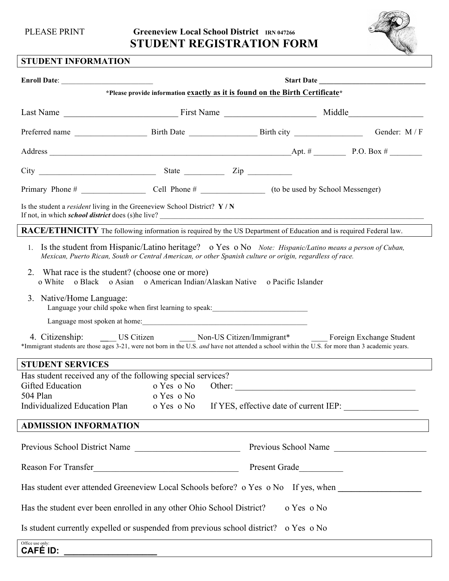PLEASE PRINT **Greeneview Local School District** IRN 047266 **STUDENT REGISTRATION FORM**



## **STUDENT INFORMATION**

| <b>Enroll Date:</b>                                                                                                                                                                                                                                      | Start Date by the state of the state of the state of the state of the state of the state of the state of the state of the state of the state of the state of the state of the state of the state of the state of the state of |  |  |                                                                                        |  |  |  |  |
|----------------------------------------------------------------------------------------------------------------------------------------------------------------------------------------------------------------------------------------------------------|-------------------------------------------------------------------------------------------------------------------------------------------------------------------------------------------------------------------------------|--|--|----------------------------------------------------------------------------------------|--|--|--|--|
| *Please provide information exactly as it is found on the Birth Certificate*                                                                                                                                                                             |                                                                                                                                                                                                                               |  |  |                                                                                        |  |  |  |  |
|                                                                                                                                                                                                                                                          |                                                                                                                                                                                                                               |  |  |                                                                                        |  |  |  |  |
|                                                                                                                                                                                                                                                          |                                                                                                                                                                                                                               |  |  |                                                                                        |  |  |  |  |
|                                                                                                                                                                                                                                                          |                                                                                                                                                                                                                               |  |  |                                                                                        |  |  |  |  |
| $City$ $\_$                                                                                                                                                                                                                                              |                                                                                                                                                                                                                               |  |  |                                                                                        |  |  |  |  |
|                                                                                                                                                                                                                                                          |                                                                                                                                                                                                                               |  |  |                                                                                        |  |  |  |  |
| Is the student a <i>resident</i> living in the Greeneview School District? $\mathbf{Y} / \mathbf{N}$<br>If not, in which school district does (s)he live?                                                                                                |                                                                                                                                                                                                                               |  |  |                                                                                        |  |  |  |  |
| RACE/ETHNICITY The following information is required by the US Department of Education and is required Federal law.                                                                                                                                      |                                                                                                                                                                                                                               |  |  |                                                                                        |  |  |  |  |
| 1. Is the student from Hispanic/Latino heritage? o Yes o No Note: Hispanic/Latino means a person of Cuban,<br>Mexican, Puerto Rican, South or Central American, or other Spanish culture or origin, regardless of race.                                  |                                                                                                                                                                                                                               |  |  |                                                                                        |  |  |  |  |
| 2. What race is the student? (choose one or more)<br>o White o Black o Asian o American Indian/Alaskan Native o Pacific Islander                                                                                                                         |                                                                                                                                                                                                                               |  |  |                                                                                        |  |  |  |  |
| 3. Native/Home Language:<br>Language your child spoke when first learning to speak: ________________________                                                                                                                                             |                                                                                                                                                                                                                               |  |  |                                                                                        |  |  |  |  |
| Language most spoken at home: Note that the set of the set of the set of the set of the set of the set of the set of the set of the set of the set of the set of the set of the set of the set of the set of the set of the se                           |                                                                                                                                                                                                                               |  |  |                                                                                        |  |  |  |  |
| 4. Citizenship: ______ US Citizen _______ Non-US Citizen/Immigrant* ______ Foreign Exchange Student<br>*Immigrant students are those ages 3-21, were not born in the U.S. and have not attended a school within the U.S. for more than 3 academic years. |                                                                                                                                                                                                                               |  |  |                                                                                        |  |  |  |  |
| <b>STUDENT SERVICES</b>                                                                                                                                                                                                                                  |                                                                                                                                                                                                                               |  |  |                                                                                        |  |  |  |  |
| Has student received any of the following special services?<br>Gifted Education                                                                                                                                                                          |                                                                                                                                                                                                                               |  |  | o Yes o No Other:                                                                      |  |  |  |  |
| 504 Plan<br>Individualized Education Plan                                                                                                                                                                                                                | o Yes o No                                                                                                                                                                                                                    |  |  | o Yes o No If YES, effective date of current IEP:                                      |  |  |  |  |
| <b>ADMISSION INFORMATION</b>                                                                                                                                                                                                                             |                                                                                                                                                                                                                               |  |  |                                                                                        |  |  |  |  |
|                                                                                                                                                                                                                                                          |                                                                                                                                                                                                                               |  |  | <u>a sa barang ang pagbabang nagarang pangangang nagarang pangangang nagarang pang</u> |  |  |  |  |
| Reason For Transfer<br><u>Example 2014</u> Present Grade                                                                                                                                                                                                 |                                                                                                                                                                                                                               |  |  |                                                                                        |  |  |  |  |
| Has student ever attended Greeneview Local Schools before? o Yes o No If yes, when _________________                                                                                                                                                     |                                                                                                                                                                                                                               |  |  |                                                                                        |  |  |  |  |
| Has the student ever been enrolled in any other Ohio School District?<br>o Yes o No                                                                                                                                                                      |                                                                                                                                                                                                                               |  |  |                                                                                        |  |  |  |  |
| Is student currently expelled or suspended from previous school district? o Yes o No                                                                                                                                                                     |                                                                                                                                                                                                                               |  |  |                                                                                        |  |  |  |  |
| Office use only:<br><b>CAFÉ ID:</b>                                                                                                                                                                                                                      |                                                                                                                                                                                                                               |  |  |                                                                                        |  |  |  |  |